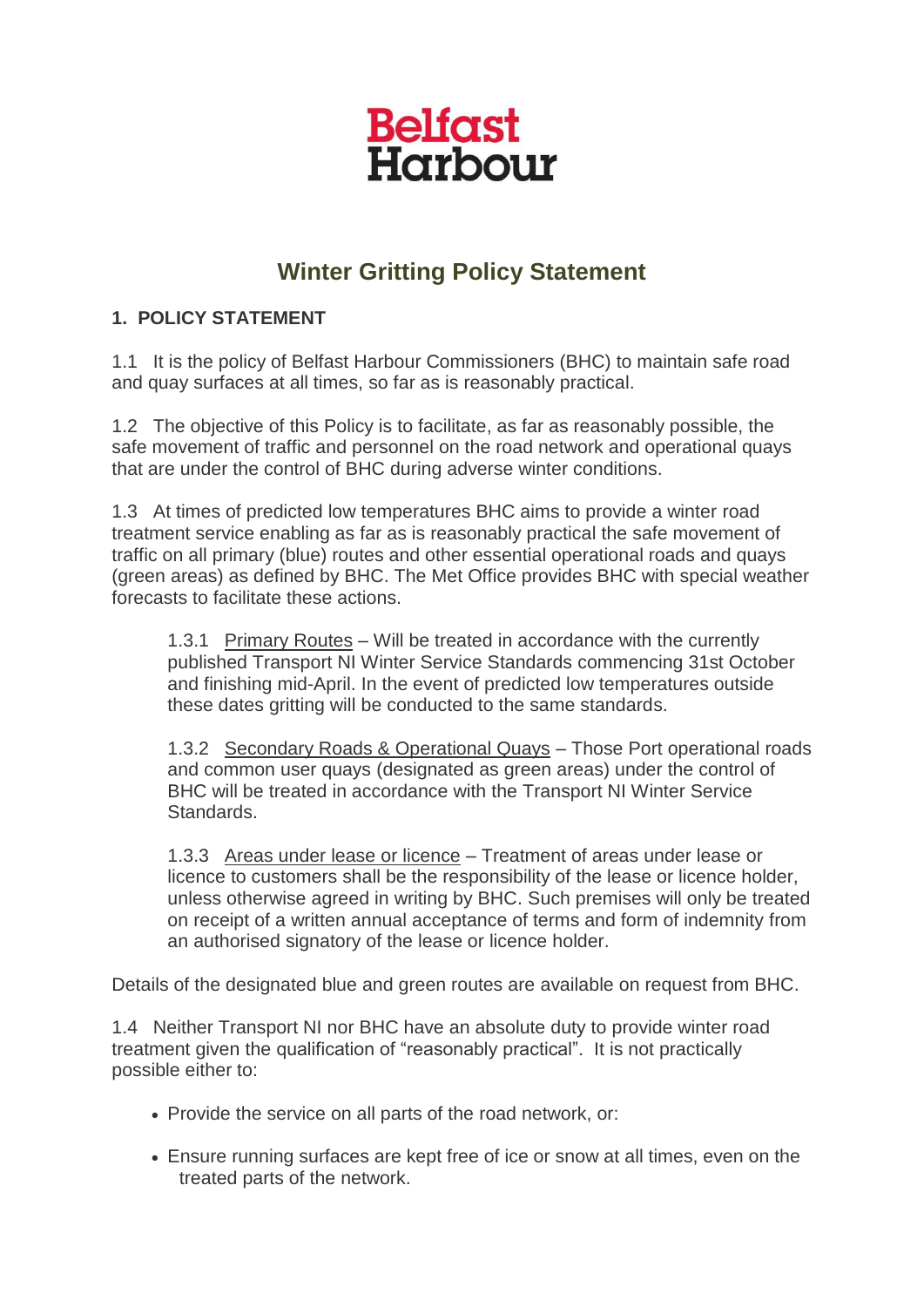## **Belfast** Harbour

## **Winter Gritting Policy Statement**

## **1. POLICY STATEMENT**

1.1 It is the policy of Belfast Harbour Commissioners (BHC) to maintain safe road and quay surfaces at all times, so far as is reasonably practical.

1.2 The objective of this Policy is to facilitate, as far as reasonably possible, the safe movement of traffic and personnel on the road network and operational quays that are under the control of BHC during adverse winter conditions.

1.3 At times of predicted low temperatures BHC aims to provide a winter road treatment service enabling as far as is reasonably practical the safe movement of traffic on all primary (blue) routes and other essential operational roads and quays (green areas) as defined by BHC. The Met Office provides BHC with special weather forecasts to facilitate these actions.

1.3.1 Primary Routes – Will be treated in accordance with the currently published Transport NI Winter Service Standards commencing 31st October and finishing mid-April. In the event of predicted low temperatures outside these dates gritting will be conducted to the same standards.

1.3.2 Secondary Roads & Operational Quays – Those Port operational roads and common user quays (designated as green areas) under the control of BHC will be treated in accordance with the Transport NI Winter Service Standards.

1.3.3 Areas under lease or licence – Treatment of areas under lease or licence to customers shall be the responsibility of the lease or licence holder, unless otherwise agreed in writing by BHC. Such premises will only be treated on receipt of a written annual acceptance of terms and form of indemnity from an authorised signatory of the lease or licence holder.

Details of the designated blue and green routes are available on request from BHC.

1.4 Neither Transport NI nor BHC have an absolute duty to provide winter road treatment given the qualification of "reasonably practical". It is not practically possible either to:

- Provide the service on all parts of the road network, or:
- Ensure running surfaces are kept free of ice or snow at all times, even on the treated parts of the network.